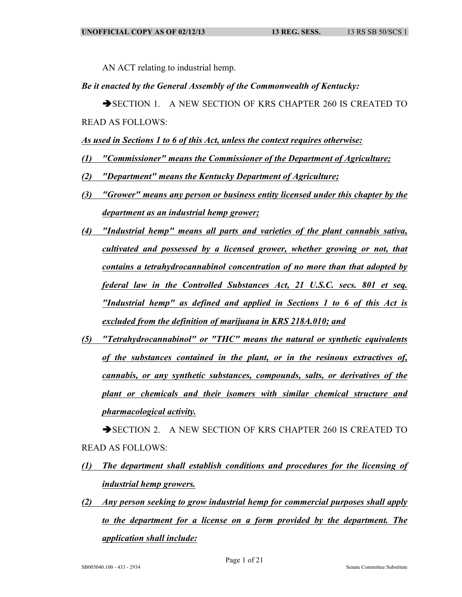AN ACT relating to industrial hemp.

## *Be it enacted by the General Assembly of the Commonwealth of Kentucky:*

SECTION 1. A NEW SECTION OF KRS CHAPTER 260 IS CREATED TO READ AS FOLLOWS:

*As used in Sections 1 to 6 of this Act, unless the context requires otherwise:*

- *(1) "Commissioner" means the Commissioner of the Department of Agriculture;*
- *(2) "Department" means the Kentucky Department of Agriculture;*
- *(3) "Grower" means any person or business entity licensed under this chapter by the department as an industrial hemp grower;*
- *(4) "Industrial hemp" means all parts and varieties of the plant cannabis sativa, cultivated and possessed by a licensed grower, whether growing or not, that contains a tetrahydrocannabinol concentration of no more than that adopted by federal law in the Controlled Substances Act, 21 U.S.C. secs. 801 et seq. "Industrial hemp" as defined and applied in Sections 1 to 6 of this Act is excluded from the definition of marijuana in KRS 218A.010; and*
- *(5) "Tetrahydrocannabinol" or "THC" means the natural or synthetic equivalents of the substances contained in the plant, or in the resinous extractives of, cannabis, or any synthetic substances, compounds, salts, or derivatives of the plant or chemicals and their isomers with similar chemical structure and pharmacological activity.*

SECTION 2. A NEW SECTION OF KRS CHAPTER 260 IS CREATED TO READ AS FOLLOWS:

- *(1) The department shall establish conditions and procedures for the licensing of industrial hemp growers.*
- *(2) Any person seeking to grow industrial hemp for commercial purposes shall apply to the department for a license on a form provided by the department. The application shall include:*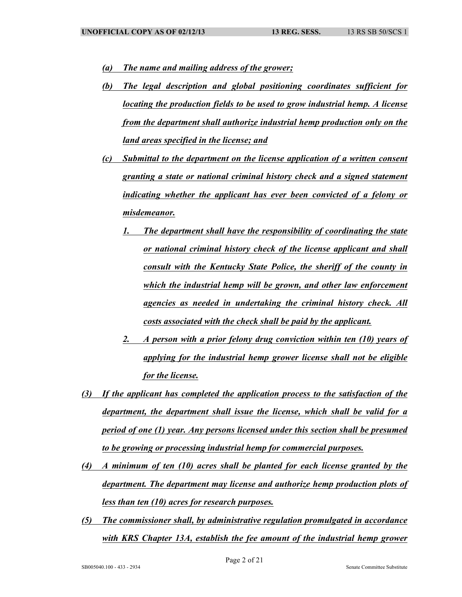- *(a) The name and mailing address of the grower;*
- *(b) The legal description and global positioning coordinates sufficient for locating the production fields to be used to grow industrial hemp. A license from the department shall authorize industrial hemp production only on the land areas specified in the license; and*
- *(c) Submittal to the department on the license application of a written consent granting a state or national criminal history check and a signed statement indicating whether the applicant has ever been convicted of a felony or misdemeanor.*
	- *1. The department shall have the responsibility of coordinating the state or national criminal history check of the license applicant and shall consult with the Kentucky State Police, the sheriff of the county in which the industrial hemp will be grown, and other law enforcement agencies as needed in undertaking the criminal history check. All costs associated with the check shall be paid by the applicant.*
	- *2. A person with a prior felony drug conviction within ten (10) years of applying for the industrial hemp grower license shall not be eligible for the license.*
- *(3) If the applicant has completed the application process to the satisfaction of the department, the department shall issue the license, which shall be valid for a period of one (1) year. Any persons licensed under this section shall be presumed to be growing or processing industrial hemp for commercial purposes.*
- *(4) A minimum of ten (10) acres shall be planted for each license granted by the department. The department may license and authorize hemp production plots of less than ten (10) acres for research purposes.*
- *(5) The commissioner shall, by administrative regulation promulgated in accordance with KRS Chapter 13A, establish the fee amount of the industrial hemp grower*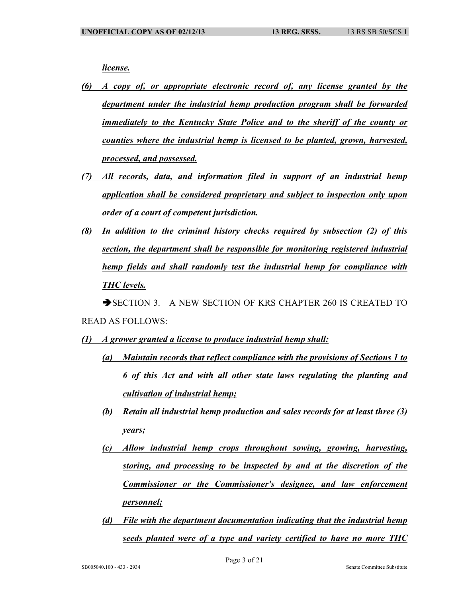*license.*

- *(6) A copy of, or appropriate electronic record of, any license granted by the department under the industrial hemp production program shall be forwarded immediately to the Kentucky State Police and to the sheriff of the county or counties where the industrial hemp is licensed to be planted, grown, harvested, processed, and possessed.*
- *(7) All records, data, and information filed in support of an industrial hemp application shall be considered proprietary and subject to inspection only upon order of a court of competent jurisdiction.*
- *(8) In addition to the criminal history checks required by subsection (2) of this section, the department shall be responsible for monitoring registered industrial hemp fields and shall randomly test the industrial hemp for compliance with THC levels.*

SECTION 3. A NEW SECTION OF KRS CHAPTER 260 IS CREATED TO READ AS FOLLOWS:

- *(1) A grower granted a license to produce industrial hemp shall:*
	- *(a) Maintain records that reflect compliance with the provisions of Sections 1 to 6 of this Act and with all other state laws regulating the planting and cultivation of industrial hemp;*
	- *(b) Retain all industrial hemp production and sales records for at least three (3) years;*
	- *(c) Allow industrial hemp crops throughout sowing, growing, harvesting, storing, and processing to be inspected by and at the discretion of the Commissioner or the Commissioner's designee, and law enforcement personnel;*
	- *(d) File with the department documentation indicating that the industrial hemp seeds planted were of a type and variety certified to have no more THC*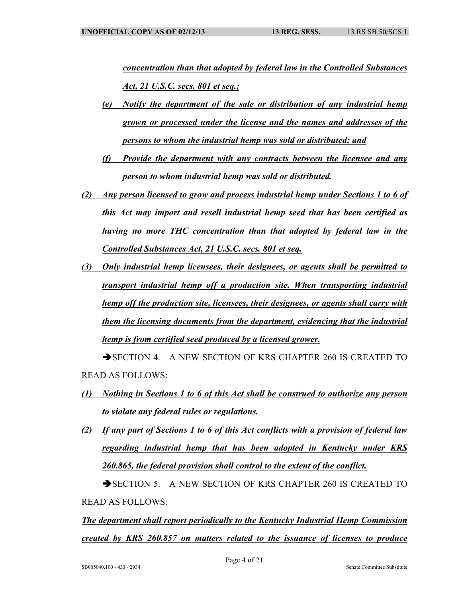*concentration than that adopted by federal law in the Controlled Substances Act, 21 U.S.C. secs. 801 et seq.;*

- *(e) Notify the department of the sale or distribution of any industrial hemp grown or processed under the license and the names and addresses of the persons to whom the industrial hemp was sold or distributed; and*
- *(f) Provide the department with any contracts between the licensee and any person to whom industrial hemp was sold or distributed.*
- *(2) Any person licensed to grow and process industrial hemp under Sections 1 to 6 of this Act may import and resell industrial hemp seed that has been certified as having no more THC concentration than that adopted by federal law in the Controlled Substances Act, 21 U.S.C. secs. 801 et seq.*
- *(3) Only industrial hemp licensees, their designees, or agents shall be permitted to transport industrial hemp off a production site. When transporting industrial hemp off the production site, licensees, their designees, or agents shall carry with them the licensing documents from the department, evidencing that the industrial hemp is from certified seed produced by a licensed grower.*

SECTION 4. A NEW SECTION OF KRS CHAPTER 260 IS CREATED TO READ AS FOLLOWS:

- *(1) Nothing in Sections 1 to 6 of this Act shall be construed to authorize any person to violate any federal rules or regulations.*
- *(2) If any part of Sections 1 to 6 of this Act conflicts with a provision of federal law regarding industrial hemp that has been adopted in Kentucky under KRS 260.865, the federal provision shall control to the extent of the conflict.*

SECTION 5. A NEW SECTION OF KRS CHAPTER 260 IS CREATED TO READ AS FOLLOWS:

*The department shall report periodically to the Kentucky Industrial Hemp Commission created by KRS 260.857 on matters related to the issuance of licenses to produce*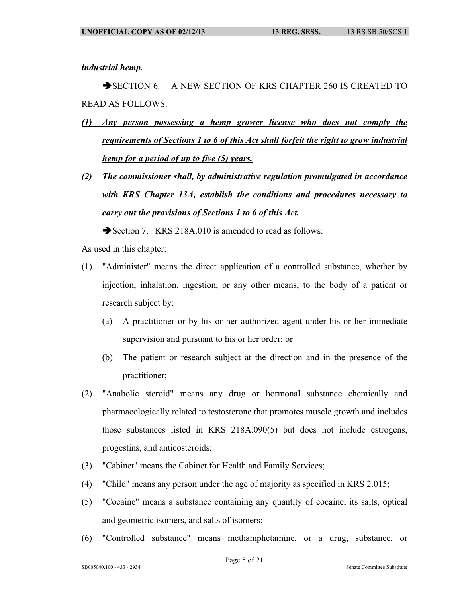*industrial hemp.*

SECTION 6. A NEW SECTION OF KRS CHAPTER 260 IS CREATED TO READ AS FOLLOWS:

- *(1) Any person possessing a hemp grower license who does not comply the requirements of Sections 1 to 6 of this Act shall forfeit the right to grow industrial hemp for a period of up to five (5) years.*
- *(2) The commissioner shall, by administrative regulation promulgated in accordance with KRS Chapter 13A, establish the conditions and procedures necessary to carry out the provisions of Sections 1 to 6 of this Act.*

 $\rightarrow$  Section 7. KRS 218A.010 is amended to read as follows:

As used in this chapter:

- (1) "Administer" means the direct application of a controlled substance, whether by injection, inhalation, ingestion, or any other means, to the body of a patient or research subject by:
	- (a) A practitioner or by his or her authorized agent under his or her immediate supervision and pursuant to his or her order; or
	- (b) The patient or research subject at the direction and in the presence of the practitioner;
- (2) "Anabolic steroid" means any drug or hormonal substance chemically and pharmacologically related to testosterone that promotes muscle growth and includes those substances listed in KRS 218A.090(5) but does not include estrogens, progestins, and anticosteroids;
- (3) "Cabinet" means the Cabinet for Health and Family Services;
- (4) "Child" means any person under the age of majority as specified in KRS 2.015;
- (5) "Cocaine" means a substance containing any quantity of cocaine, its salts, optical and geometric isomers, and salts of isomers;
- (6) "Controlled substance" means methamphetamine, or a drug, substance, or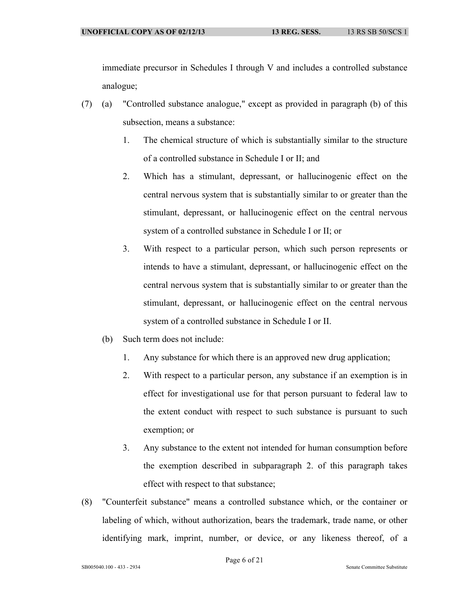immediate precursor in Schedules I through V and includes a controlled substance analogue;

- (7) (a) "Controlled substance analogue," except as provided in paragraph (b) of this subsection, means a substance:
	- 1. The chemical structure of which is substantially similar to the structure of a controlled substance in Schedule I or II; and
	- 2. Which has a stimulant, depressant, or hallucinogenic effect on the central nervous system that is substantially similar to or greater than the stimulant, depressant, or hallucinogenic effect on the central nervous system of a controlled substance in Schedule I or II; or
	- 3. With respect to a particular person, which such person represents or intends to have a stimulant, depressant, or hallucinogenic effect on the central nervous system that is substantially similar to or greater than the stimulant, depressant, or hallucinogenic effect on the central nervous system of a controlled substance in Schedule I or II.
	- (b) Such term does not include:
		- 1. Any substance for which there is an approved new drug application;
		- 2. With respect to a particular person, any substance if an exemption is in effect for investigational use for that person pursuant to federal law to the extent conduct with respect to such substance is pursuant to such exemption; or
		- 3. Any substance to the extent not intended for human consumption before the exemption described in subparagraph 2. of this paragraph takes effect with respect to that substance;
- (8) "Counterfeit substance" means a controlled substance which, or the container or labeling of which, without authorization, bears the trademark, trade name, or other identifying mark, imprint, number, or device, or any likeness thereof, of a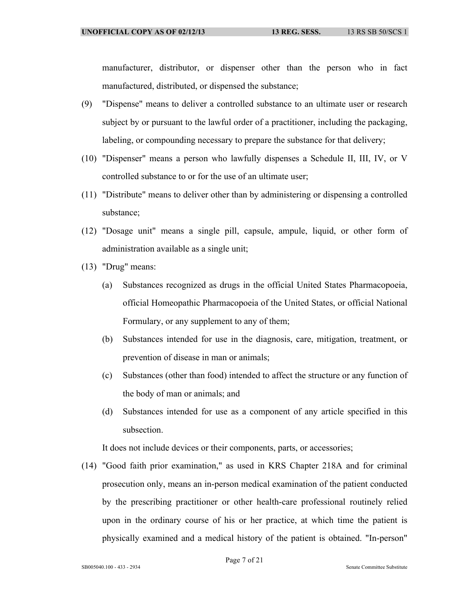manufacturer, distributor, or dispenser other than the person who in fact manufactured, distributed, or dispensed the substance;

- (9) "Dispense" means to deliver a controlled substance to an ultimate user or research subject by or pursuant to the lawful order of a practitioner, including the packaging, labeling, or compounding necessary to prepare the substance for that delivery;
- (10) "Dispenser" means a person who lawfully dispenses a Schedule II, III, IV, or V controlled substance to or for the use of an ultimate user;
- (11) "Distribute" means to deliver other than by administering or dispensing a controlled substance;
- (12) "Dosage unit" means a single pill, capsule, ampule, liquid, or other form of administration available as a single unit;
- (13) "Drug" means:
	- (a) Substances recognized as drugs in the official United States Pharmacopoeia, official Homeopathic Pharmacopoeia of the United States, or official National Formulary, or any supplement to any of them;
	- (b) Substances intended for use in the diagnosis, care, mitigation, treatment, or prevention of disease in man or animals;
	- (c) Substances (other than food) intended to affect the structure or any function of the body of man or animals; and
	- (d) Substances intended for use as a component of any article specified in this subsection.

It does not include devices or their components, parts, or accessories;

(14) "Good faith prior examination," as used in KRS Chapter 218A and for criminal prosecution only, means an in-person medical examination of the patient conducted by the prescribing practitioner or other health-care professional routinely relied upon in the ordinary course of his or her practice, at which time the patient is physically examined and a medical history of the patient is obtained. "In-person"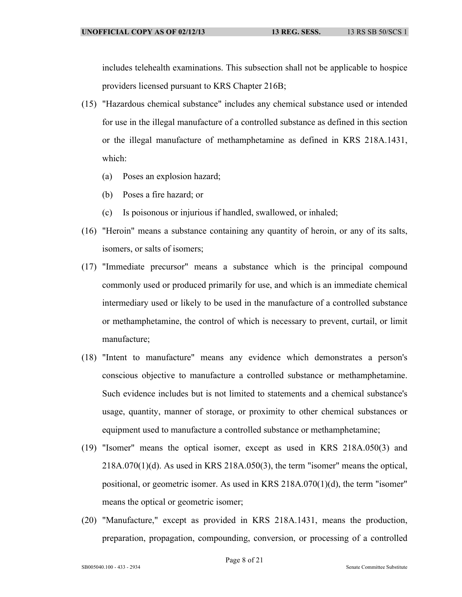includes telehealth examinations. This subsection shall not be applicable to hospice providers licensed pursuant to KRS Chapter 216B;

- (15) "Hazardous chemical substance" includes any chemical substance used or intended for use in the illegal manufacture of a controlled substance as defined in this section or the illegal manufacture of methamphetamine as defined in KRS 218A.1431, which:
	- (a) Poses an explosion hazard;
	- (b) Poses a fire hazard; or
	- (c) Is poisonous or injurious if handled, swallowed, or inhaled;
- (16) "Heroin" means a substance containing any quantity of heroin, or any of its salts, isomers, or salts of isomers;
- (17) "Immediate precursor" means a substance which is the principal compound commonly used or produced primarily for use, and which is an immediate chemical intermediary used or likely to be used in the manufacture of a controlled substance or methamphetamine, the control of which is necessary to prevent, curtail, or limit manufacture;
- (18) "Intent to manufacture" means any evidence which demonstrates a person's conscious objective to manufacture a controlled substance or methamphetamine. Such evidence includes but is not limited to statements and a chemical substance's usage, quantity, manner of storage, or proximity to other chemical substances or equipment used to manufacture a controlled substance or methamphetamine;
- (19) "Isomer" means the optical isomer, except as used in KRS 218A.050(3) and  $218A.070(1)(d)$ . As used in KRS  $218A.050(3)$ , the term "isomer" means the optical, positional, or geometric isomer. As used in KRS 218A.070(1)(d), the term "isomer" means the optical or geometric isomer;
- (20) "Manufacture," except as provided in KRS 218A.1431, means the production, preparation, propagation, compounding, conversion, or processing of a controlled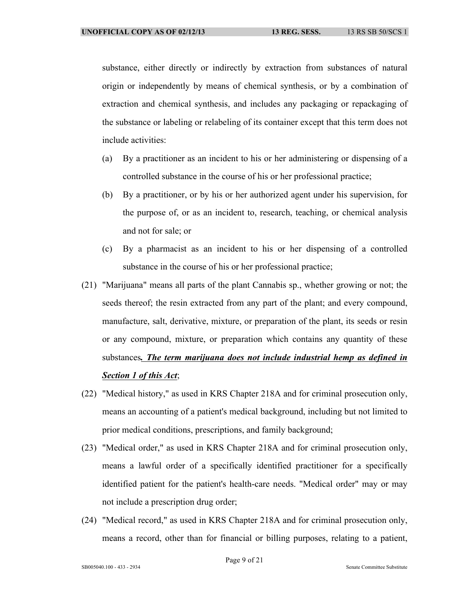substance, either directly or indirectly by extraction from substances of natural origin or independently by means of chemical synthesis, or by a combination of extraction and chemical synthesis, and includes any packaging or repackaging of the substance or labeling or relabeling of its container except that this term does not include activities:

- (a) By a practitioner as an incident to his or her administering or dispensing of a controlled substance in the course of his or her professional practice;
- (b) By a practitioner, or by his or her authorized agent under his supervision, for the purpose of, or as an incident to, research, teaching, or chemical analysis and not for sale; or
- (c) By a pharmacist as an incident to his or her dispensing of a controlled substance in the course of his or her professional practice;
- (21) "Marijuana" means all parts of the plant Cannabis sp., whether growing or not; the seeds thereof; the resin extracted from any part of the plant; and every compound, manufacture, salt, derivative, mixture, or preparation of the plant, its seeds or resin or any compound, mixture, or preparation which contains any quantity of these substances*. The term marijuana does not include industrial hemp as defined in Section 1 of this Act*;
- (22) "Medical history," as used in KRS Chapter 218A and for criminal prosecution only, means an accounting of a patient's medical background, including but not limited to prior medical conditions, prescriptions, and family background;
- (23) "Medical order," as used in KRS Chapter 218A and for criminal prosecution only, means a lawful order of a specifically identified practitioner for a specifically identified patient for the patient's health-care needs. "Medical order" may or may not include a prescription drug order;
- (24) "Medical record," as used in KRS Chapter 218A and for criminal prosecution only, means a record, other than for financial or billing purposes, relating to a patient,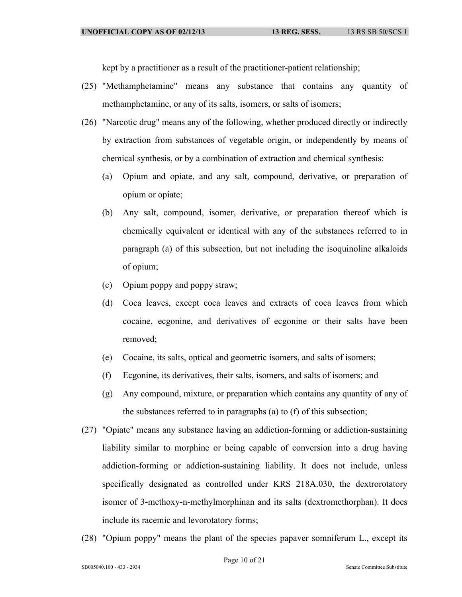kept by a practitioner as a result of the practitioner-patient relationship;

- (25) "Methamphetamine" means any substance that contains any quantity of methamphetamine, or any of its salts, isomers, or salts of isomers;
- (26) "Narcotic drug" means any of the following, whether produced directly or indirectly by extraction from substances of vegetable origin, or independently by means of chemical synthesis, or by a combination of extraction and chemical synthesis:
	- (a) Opium and opiate, and any salt, compound, derivative, or preparation of opium or opiate;
	- (b) Any salt, compound, isomer, derivative, or preparation thereof which is chemically equivalent or identical with any of the substances referred to in paragraph (a) of this subsection, but not including the isoquinoline alkaloids of opium;
	- (c) Opium poppy and poppy straw;
	- (d) Coca leaves, except coca leaves and extracts of coca leaves from which cocaine, ecgonine, and derivatives of ecgonine or their salts have been removed;
	- (e) Cocaine, its salts, optical and geometric isomers, and salts of isomers;
	- (f) Ecgonine, its derivatives, their salts, isomers, and salts of isomers; and
	- (g) Any compound, mixture, or preparation which contains any quantity of any of the substances referred to in paragraphs (a) to (f) of this subsection;
- (27) "Opiate" means any substance having an addiction-forming or addiction-sustaining liability similar to morphine or being capable of conversion into a drug having addiction-forming or addiction-sustaining liability. It does not include, unless specifically designated as controlled under KRS 218A.030, the dextrorotatory isomer of 3-methoxy-n-methylmorphinan and its salts (dextromethorphan). It does include its racemic and levorotatory forms;
- (28) "Opium poppy" means the plant of the species papaver somniferum L., except its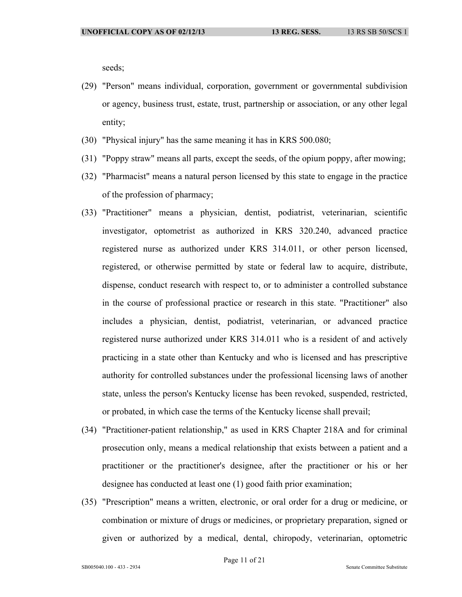seeds;

- (29) "Person" means individual, corporation, government or governmental subdivision or agency, business trust, estate, trust, partnership or association, or any other legal entity;
- (30) "Physical injury" has the same meaning it has in KRS 500.080;
- (31) "Poppy straw" means all parts, except the seeds, of the opium poppy, after mowing;
- (32) "Pharmacist" means a natural person licensed by this state to engage in the practice of the profession of pharmacy;
- (33) "Practitioner" means a physician, dentist, podiatrist, veterinarian, scientific investigator, optometrist as authorized in KRS 320.240, advanced practice registered nurse as authorized under KRS 314.011, or other person licensed, registered, or otherwise permitted by state or federal law to acquire, distribute, dispense, conduct research with respect to, or to administer a controlled substance in the course of professional practice or research in this state. "Practitioner" also includes a physician, dentist, podiatrist, veterinarian, or advanced practice registered nurse authorized under KRS 314.011 who is a resident of and actively practicing in a state other than Kentucky and who is licensed and has prescriptive authority for controlled substances under the professional licensing laws of another state, unless the person's Kentucky license has been revoked, suspended, restricted, or probated, in which case the terms of the Kentucky license shall prevail;
- (34) "Practitioner-patient relationship," as used in KRS Chapter 218A and for criminal prosecution only, means a medical relationship that exists between a patient and a practitioner or the practitioner's designee, after the practitioner or his or her designee has conducted at least one (1) good faith prior examination;
- (35) "Prescription" means a written, electronic, or oral order for a drug or medicine, or combination or mixture of drugs or medicines, or proprietary preparation, signed or given or authorized by a medical, dental, chiropody, veterinarian, optometric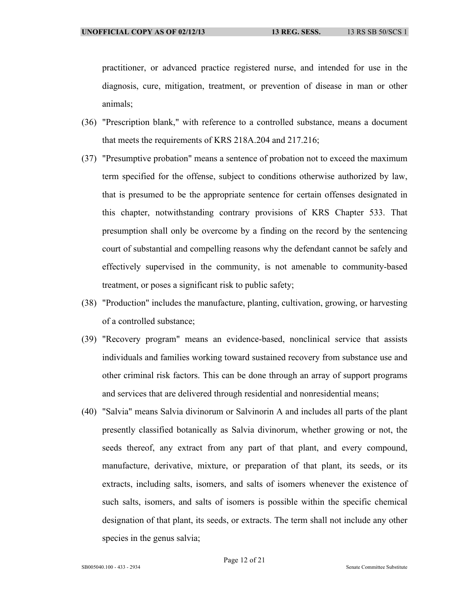practitioner, or advanced practice registered nurse, and intended for use in the diagnosis, cure, mitigation, treatment, or prevention of disease in man or other animals;

- (36) "Prescription blank," with reference to a controlled substance, means a document that meets the requirements of KRS 218A.204 and 217.216;
- (37) "Presumptive probation" means a sentence of probation not to exceed the maximum term specified for the offense, subject to conditions otherwise authorized by law, that is presumed to be the appropriate sentence for certain offenses designated in this chapter, notwithstanding contrary provisions of KRS Chapter 533. That presumption shall only be overcome by a finding on the record by the sentencing court of substantial and compelling reasons why the defendant cannot be safely and effectively supervised in the community, is not amenable to community-based treatment, or poses a significant risk to public safety;
- (38) "Production" includes the manufacture, planting, cultivation, growing, or harvesting of a controlled substance;
- (39) "Recovery program" means an evidence-based, nonclinical service that assists individuals and families working toward sustained recovery from substance use and other criminal risk factors. This can be done through an array of support programs and services that are delivered through residential and nonresidential means;
- (40) "Salvia" means Salvia divinorum or Salvinorin A and includes all parts of the plant presently classified botanically as Salvia divinorum, whether growing or not, the seeds thereof, any extract from any part of that plant, and every compound, manufacture, derivative, mixture, or preparation of that plant, its seeds, or its extracts, including salts, isomers, and salts of isomers whenever the existence of such salts, isomers, and salts of isomers is possible within the specific chemical designation of that plant, its seeds, or extracts. The term shall not include any other species in the genus salvia;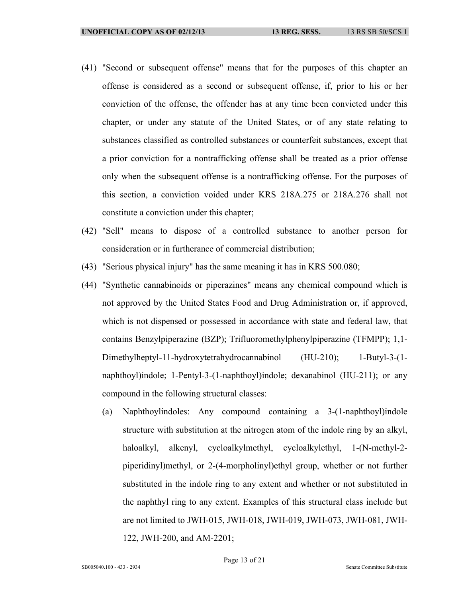- (41) "Second or subsequent offense" means that for the purposes of this chapter an offense is considered as a second or subsequent offense, if, prior to his or her conviction of the offense, the offender has at any time been convicted under this chapter, or under any statute of the United States, or of any state relating to substances classified as controlled substances or counterfeit substances, except that a prior conviction for a nontrafficking offense shall be treated as a prior offense only when the subsequent offense is a nontrafficking offense. For the purposes of this section, a conviction voided under KRS 218A.275 or 218A.276 shall not constitute a conviction under this chapter;
- (42) "Sell" means to dispose of a controlled substance to another person for consideration or in furtherance of commercial distribution;
- (43) "Serious physical injury" has the same meaning it has in KRS 500.080;
- (44) "Synthetic cannabinoids or piperazines" means any chemical compound which is not approved by the United States Food and Drug Administration or, if approved, which is not dispensed or possessed in accordance with state and federal law, that contains Benzylpiperazine (BZP); Trifluoromethylphenylpiperazine (TFMPP); 1,1- Dimethylheptyl-11-hydroxytetrahydrocannabinol (HU-210); 1-Butyl-3-(1 naphthoyl)indole; 1-Pentyl-3-(1-naphthoyl)indole; dexanabinol (HU-211); or any compound in the following structural classes:
	- (a) Naphthoylindoles: Any compound containing a 3-(1-naphthoyl)indole structure with substitution at the nitrogen atom of the indole ring by an alkyl, haloalkyl, alkenyl, cycloalkylmethyl, cycloalkylethyl, 1-(N-methyl-2 piperidinyl)methyl, or 2-(4-morpholinyl)ethyl group, whether or not further substituted in the indole ring to any extent and whether or not substituted in the naphthyl ring to any extent. Examples of this structural class include but are not limited to JWH-015, JWH-018, JWH-019, JWH-073, JWH-081, JWH-122, JWH-200, and AM-2201;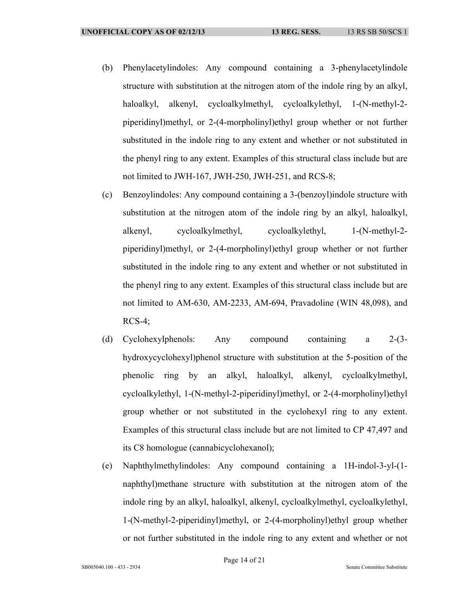- (b) Phenylacetylindoles: Any compound containing a 3-phenylacetylindole structure with substitution at the nitrogen atom of the indole ring by an alkyl, haloalkyl, alkenyl, cycloalkylmethyl, cycloalkylethyl, 1-(N-methyl-2 piperidinyl)methyl, or 2-(4-morpholinyl)ethyl group whether or not further substituted in the indole ring to any extent and whether or not substituted in the phenyl ring to any extent. Examples of this structural class include but are not limited to JWH-167, JWH-250, JWH-251, and RCS-8;
- (c) Benzoylindoles: Any compound containing a 3-(benzoyl)indole structure with substitution at the nitrogen atom of the indole ring by an alkyl, haloalkyl, alkenyl, cycloalkylmethyl, cycloalkylethyl, 1-(N-methyl-2 piperidinyl)methyl, or 2-(4-morpholinyl)ethyl group whether or not further substituted in the indole ring to any extent and whether or not substituted in the phenyl ring to any extent. Examples of this structural class include but are not limited to AM-630, AM-2233, AM-694, Pravadoline (WIN 48,098), and  $RCS-4$ ;
- (d) Cyclohexylphenols: Any compound containing a 2-(3 hydroxycyclohexyl)phenol structure with substitution at the 5-position of the phenolic ring by an alkyl, haloalkyl, alkenyl, cycloalkylmethyl, cycloalkylethyl, 1-(N-methyl-2-piperidinyl)methyl, or 2-(4-morpholinyl)ethyl group whether or not substituted in the cyclohexyl ring to any extent. Examples of this structural class include but are not limited to CP 47,497 and its C8 homologue (cannabicyclohexanol);
- (e) Naphthylmethylindoles: Any compound containing a 1H-indol-3-yl-(1 naphthyl)methane structure with substitution at the nitrogen atom of the indole ring by an alkyl, haloalkyl, alkenyl, cycloalkylmethyl, cycloalkylethyl, 1-(N-methyl-2-piperidinyl)methyl, or 2-(4-morpholinyl)ethyl group whether or not further substituted in the indole ring to any extent and whether or not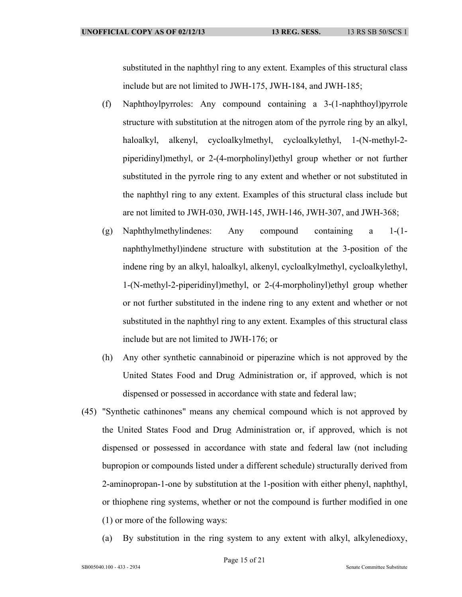substituted in the naphthyl ring to any extent. Examples of this structural class include but are not limited to JWH-175, JWH-184, and JWH-185;

- (f) Naphthoylpyrroles: Any compound containing a 3-(1-naphthoyl)pyrrole structure with substitution at the nitrogen atom of the pyrrole ring by an alkyl, haloalkyl, alkenyl, cycloalkylmethyl, cycloalkylethyl, 1-(N-methyl-2 piperidinyl)methyl, or 2-(4-morpholinyl)ethyl group whether or not further substituted in the pyrrole ring to any extent and whether or not substituted in the naphthyl ring to any extent. Examples of this structural class include but are not limited to JWH-030, JWH-145, JWH-146, JWH-307, and JWH-368;
- (g) Naphthylmethylindenes: Any compound containing a 1-(1 naphthylmethyl)indene structure with substitution at the 3-position of the indene ring by an alkyl, haloalkyl, alkenyl, cycloalkylmethyl, cycloalkylethyl, 1-(N-methyl-2-piperidinyl)methyl, or 2-(4-morpholinyl)ethyl group whether or not further substituted in the indene ring to any extent and whether or not substituted in the naphthyl ring to any extent. Examples of this structural class include but are not limited to JWH-176; or
- (h) Any other synthetic cannabinoid or piperazine which is not approved by the United States Food and Drug Administration or, if approved, which is not dispensed or possessed in accordance with state and federal law;
- (45) "Synthetic cathinones" means any chemical compound which is not approved by the United States Food and Drug Administration or, if approved, which is not dispensed or possessed in accordance with state and federal law (not including bupropion or compounds listed under a different schedule) structurally derived from 2-aminopropan-1-one by substitution at the 1-position with either phenyl, naphthyl, or thiophene ring systems, whether or not the compound is further modified in one (1) or more of the following ways:
	- (a) By substitution in the ring system to any extent with alkyl, alkylenedioxy,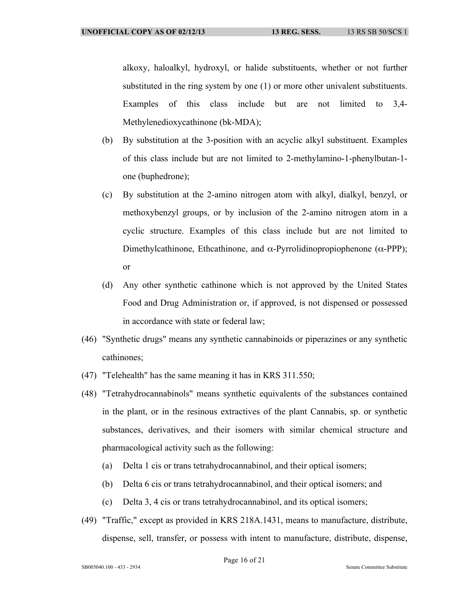alkoxy, haloalkyl, hydroxyl, or halide substituents, whether or not further substituted in the ring system by one (1) or more other univalent substituents. Examples of this class include but are not limited to 3,4- Methylenedioxycathinone (bk-MDA);

- (b) By substitution at the 3-position with an acyclic alkyl substituent. Examples of this class include but are not limited to 2-methylamino-1-phenylbutan-1 one (buphedrone);
- (c) By substitution at the 2-amino nitrogen atom with alkyl, dialkyl, benzyl, or methoxybenzyl groups, or by inclusion of the 2-amino nitrogen atom in a cyclic structure. Examples of this class include but are not limited to Dimethylcathinone, Ethcathinone, and  $α$ -Pyrrolidinopropiophenone ( $α$ -PPP); or
- (d) Any other synthetic cathinone which is not approved by the United States Food and Drug Administration or, if approved, is not dispensed or possessed in accordance with state or federal law;
- (46) "Synthetic drugs" means any synthetic cannabinoids or piperazines or any synthetic cathinones;
- (47) "Telehealth" has the same meaning it has in KRS 311.550;
- (48) "Tetrahydrocannabinols" means synthetic equivalents of the substances contained in the plant, or in the resinous extractives of the plant Cannabis, sp. or synthetic substances, derivatives, and their isomers with similar chemical structure and pharmacological activity such as the following:
	- (a) Delta 1 cis or trans tetrahydrocannabinol, and their optical isomers;
	- (b) Delta 6 cis or trans tetrahydrocannabinol, and their optical isomers; and
	- (c) Delta 3, 4 cis or trans tetrahydrocannabinol, and its optical isomers;
- (49) "Traffic," except as provided in KRS 218A.1431, means to manufacture, distribute, dispense, sell, transfer, or possess with intent to manufacture, distribute, dispense,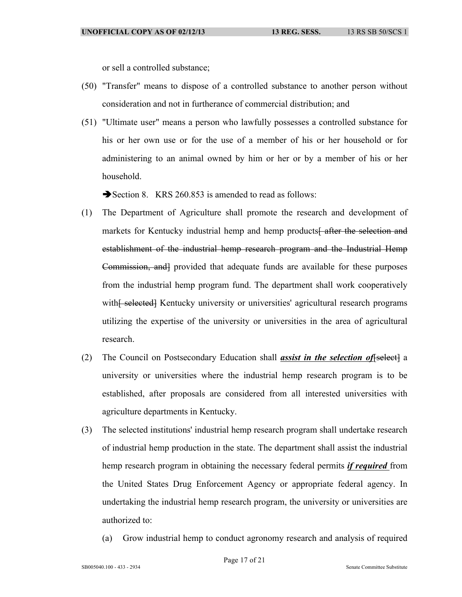or sell a controlled substance;

- (50) "Transfer" means to dispose of a controlled substance to another person without consideration and not in furtherance of commercial distribution; and
- (51) "Ultimate user" means a person who lawfully possesses a controlled substance for his or her own use or for the use of a member of his or her household or for administering to an animal owned by him or her or by a member of his or her household.

Section 8. KRS 260.853 is amended to read as follows:

- (1) The Department of Agriculture shall promote the research and development of markets for Kentucky industrial hemp and hemp products<del>[ after the selection and</del> establishment of the industrial hemp research program and the Industrial Hemp Commission, and provided that adequate funds are available for these purposes from the industrial hemp program fund. The department shall work cooperatively with selected Kentucky university or universities' agricultural research programs utilizing the expertise of the university or universities in the area of agricultural research.
- (2) The Council on Postsecondary Education shall *assist in the selection of*[select] a university or universities where the industrial hemp research program is to be established, after proposals are considered from all interested universities with agriculture departments in Kentucky.
- (3) The selected institutions' industrial hemp research program shall undertake research of industrial hemp production in the state. The department shall assist the industrial hemp research program in obtaining the necessary federal permits *if required* from the United States Drug Enforcement Agency or appropriate federal agency. In undertaking the industrial hemp research program, the university or universities are authorized to:
	- (a) Grow industrial hemp to conduct agronomy research and analysis of required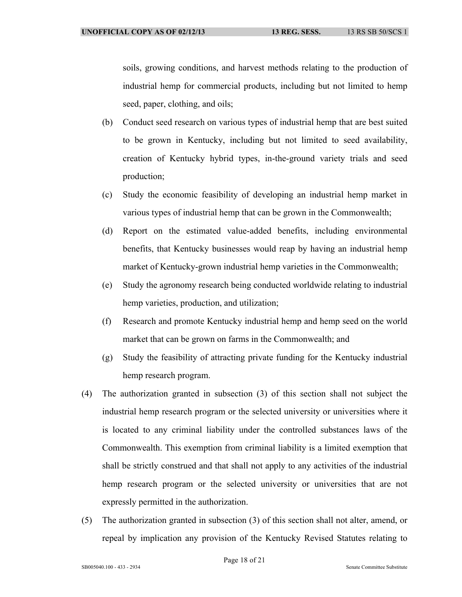soils, growing conditions, and harvest methods relating to the production of industrial hemp for commercial products, including but not limited to hemp seed, paper, clothing, and oils;

- (b) Conduct seed research on various types of industrial hemp that are best suited to be grown in Kentucky, including but not limited to seed availability, creation of Kentucky hybrid types, in-the-ground variety trials and seed production;
- (c) Study the economic feasibility of developing an industrial hemp market in various types of industrial hemp that can be grown in the Commonwealth;
- (d) Report on the estimated value-added benefits, including environmental benefits, that Kentucky businesses would reap by having an industrial hemp market of Kentucky-grown industrial hemp varieties in the Commonwealth;
- (e) Study the agronomy research being conducted worldwide relating to industrial hemp varieties, production, and utilization;
- (f) Research and promote Kentucky industrial hemp and hemp seed on the world market that can be grown on farms in the Commonwealth; and
- (g) Study the feasibility of attracting private funding for the Kentucky industrial hemp research program.
- (4) The authorization granted in subsection (3) of this section shall not subject the industrial hemp research program or the selected university or universities where it is located to any criminal liability under the controlled substances laws of the Commonwealth. This exemption from criminal liability is a limited exemption that shall be strictly construed and that shall not apply to any activities of the industrial hemp research program or the selected university or universities that are not expressly permitted in the authorization.
- (5) The authorization granted in subsection (3) of this section shall not alter, amend, or repeal by implication any provision of the Kentucky Revised Statutes relating to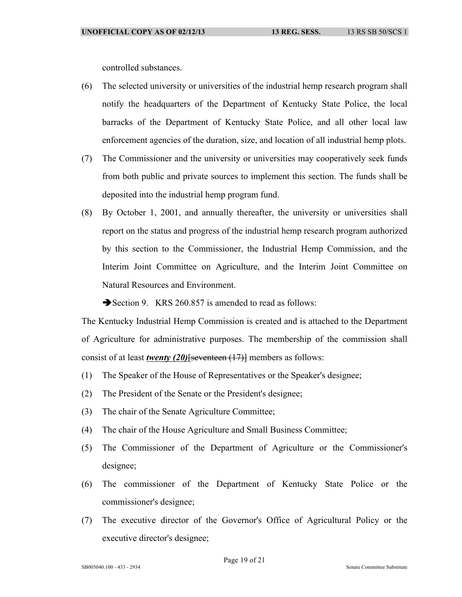controlled substances.

- (6) The selected university or universities of the industrial hemp research program shall notify the headquarters of the Department of Kentucky State Police, the local barracks of the Department of Kentucky State Police, and all other local law enforcement agencies of the duration, size, and location of all industrial hemp plots.
- (7) The Commissioner and the university or universities may cooperatively seek funds from both public and private sources to implement this section. The funds shall be deposited into the industrial hemp program fund.
- (8) By October 1, 2001, and annually thereafter, the university or universities shall report on the status and progress of the industrial hemp research program authorized by this section to the Commissioner, the Industrial Hemp Commission, and the Interim Joint Committee on Agriculture, and the Interim Joint Committee on Natural Resources and Environment.

 $\rightarrow$  Section 9. KRS 260.857 is amended to read as follows:

The Kentucky Industrial Hemp Commission is created and is attached to the Department of Agriculture for administrative purposes. The membership of the commission shall consist of at least *twenty (20)*[seventeen (17)] members as follows:

- (1) The Speaker of the House of Representatives or the Speaker's designee;
- (2) The President of the Senate or the President's designee;
- (3) The chair of the Senate Agriculture Committee;
- (4) The chair of the House Agriculture and Small Business Committee;
- (5) The Commissioner of the Department of Agriculture or the Commissioner's designee;
- (6) The commissioner of the Department of Kentucky State Police or the commissioner's designee;
- (7) The executive director of the Governor's Office of Agricultural Policy or the executive director's designee;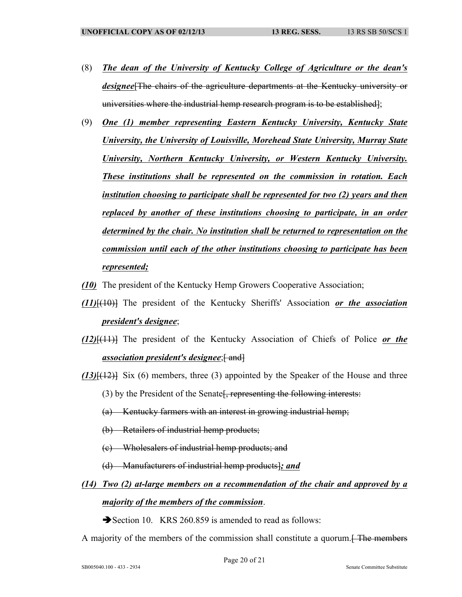- (8) *The dean of the University of Kentucky College of Agriculture or the dean's designee*[The chairs of the agriculture departments at the Kentucky university or universities where the industrial hemp research program is to be established];
- (9) *One (1) member representing Eastern Kentucky University, Kentucky State University, the University of Louisville, Morehead State University, Murray State University, Northern Kentucky University, or Western Kentucky University. These institutions shall be represented on the commission in rotation. Each institution choosing to participate shall be represented for two (2) years and then replaced by another of these institutions choosing to participate, in an order determined by the chair. No institution shall be returned to representation on the commission until each of the other institutions choosing to participate has been represented;*
- *(10)* The president of the Kentucky Hemp Growers Cooperative Association;
- *(11)*[(10)] The president of the Kentucky Sheriffs' Association *or the association president's designee*;
- *(12)*[(11)] The president of the Kentucky Association of Chiefs of Police *or the association president's designee*;  $\frac{1}{2}$
- *(13)*[(12)] Six (6) members, three (3) appointed by the Speaker of the House and three (3) by the President of the Senate<del>[, representing the following interests:</del>
	- (a) Kentucky farmers with an interest in growing industrial hemp;
	- (b) Retailers of industrial hemp products;
	- (c) Wholesalers of industrial hemp products; and
	- (d) Manufacturers of industrial hemp products]*; and*

## *(14) Two (2) at-large members on a recommendation of the chair and approved by a majority of the members of the commission*.

 $\rightarrow$  Section 10. KRS 260.859 is amended to read as follows:

A majority of the members of the commission shall constitute a quorum. The members